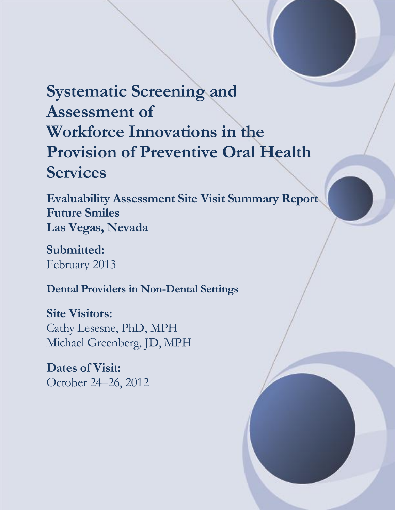## **Systematic Screening and Assessment of Workforce Innovations in the Provision of Preventive Oral Health Services**

**Evaluability Assessment Site Visit Summary Report Future Smiles Las Vegas, Nevada**

**Submitted:** February 2013

**Dental Providers in Non-Dental Settings**

**Site Visitors:**  Cathy Lesesne, PhD, MPH Michael Greenberg, JD, MPH

**Dates of Visit:**  October 24–26, 2012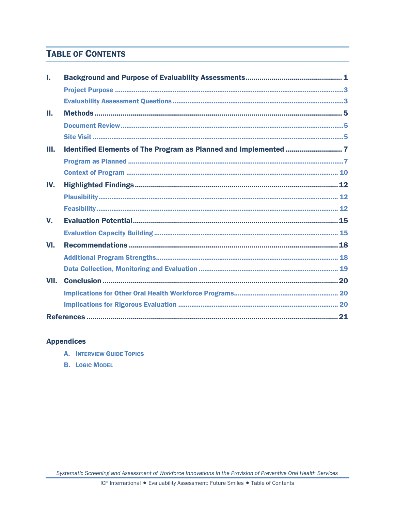## **TABLE OF CONTENTS**

| ı.      |  |  |  |  |
|---------|--|--|--|--|
|         |  |  |  |  |
|         |  |  |  |  |
| П.      |  |  |  |  |
|         |  |  |  |  |
|         |  |  |  |  |
| Ш.      |  |  |  |  |
|         |  |  |  |  |
|         |  |  |  |  |
| IV.     |  |  |  |  |
|         |  |  |  |  |
|         |  |  |  |  |
| $V_{-}$ |  |  |  |  |
|         |  |  |  |  |
| VI.     |  |  |  |  |
|         |  |  |  |  |
|         |  |  |  |  |
| VII.    |  |  |  |  |
|         |  |  |  |  |
|         |  |  |  |  |
|         |  |  |  |  |

## **Appendices**

- **A. INTERVIEW GUIDE TOPICS**
- **B.** Logic Model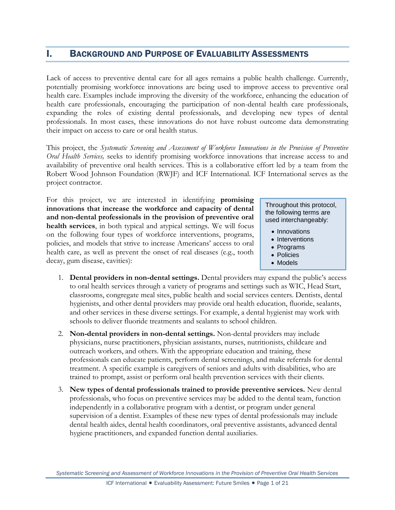## <span id="page-2-0"></span>I. BACKGROUND AND PURPOSE OF EVALUABILITY ASSESSMENTS

Lack of access to preventive dental care for all ages remains a public health challenge. Currently, potentially promising workforce innovations are being used to improve access to preventive oral health care. Examples include improving the diversity of the workforce, enhancing the education of health care professionals, encouraging the participation of non-dental health care professionals, expanding the roles of existing dental professionals, and developing new types of dental professionals. In most cases, these innovations do not have robust outcome data demonstrating their impact on access to care or oral health status.

This project, the *Systematic Screening and Assessment of Workforce Innovations in the Provision of Preventive Oral Health Services,* seeks to identify promising workforce innovations that increase access to and availability of preventive oral health services. This is a collaborative effort led by a team from the Robert Wood Johnson Foundation (RWJF) and ICF International. ICF International serves as the project contractor.

For this project, we are interested in identifying **promising innovations that increase the workforce and capacity of dental and non-dental professionals in the provision of preventive oral health services**, in both typical and atypical settings. We will focus on the following four types of workforce interventions, programs, policies, and models that strive to increase Americans' access to oral health care, as well as prevent the onset of real diseases (e.g., tooth decay, gum disease, cavities):

Throughout this protocol, the following terms are used interchangeably:

- Innovations
- Interventions
- Programs
- Policies
- Models
- 1. **Dental providers in non-dental settings.** Dental providers may expand the public's access to oral health services through a variety of programs and settings such as WIC, Head Start, classrooms, congregate meal sites, public health and social services centers. Dentists, dental hygienists, and other dental providers may provide oral health education, fluoride, sealants, and other services in these diverse settings. For example, a dental hygienist may work with schools to deliver fluoride treatments and sealants to school children.
- 2. **Non-dental providers in non-dental settings.** Non-dental providers may include physicians, nurse practitioners, physician assistants, nurses, nutritionists, childcare and outreach workers, and others. With the appropriate education and training, these professionals can educate patients, perform dental screenings, and make referrals for dental treatment. A specific example is caregivers of seniors and adults with disabilities, who are trained to prompt, assist or perform oral health prevention services with their clients.
- 3. **New types of dental professionals trained to provide preventive services.** New dental professionals, who focus on preventive services may be added to the dental team, function independently in a collaborative program with a dentist, or program under general supervision of a dentist. Examples of these new types of dental professionals may include dental health aides, dental health coordinators, oral preventive assistants, advanced dental hygiene practitioners, and expanded function dental auxiliaries.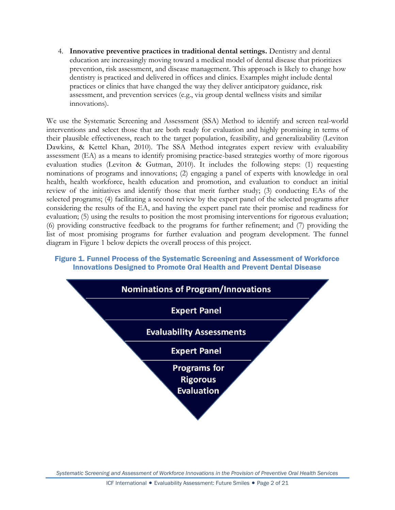4. **Innovative preventive practices in traditional dental settings.** Dentistry and dental education are increasingly moving toward a medical model of dental disease that prioritizes prevention, risk assessment, and disease management. This approach is likely to change how dentistry is practiced and delivered in offices and clinics. Examples might include dental practices or clinics that have changed the way they deliver anticipatory guidance, risk assessment, and prevention services (e.g., via group dental wellness visits and similar innovations).

We use the Systematic Screening and Assessment (SSA) Method to identify and screen real-world interventions and select those that are both ready for evaluation and highly promising in terms of their plausible effectiveness, reach to the target population, feasibility, and generalizability (Leviton Dawkins, & Kettel Khan, 2010). The SSA Method integrates expert review with evaluability assessment (EA) as a means to identify promising practice-based strategies worthy of more rigorous evaluation studies (Leviton & Gutman, 2010). It includes the following steps: (1) requesting nominations of programs and innovations; (2) engaging a panel of experts with knowledge in oral health, health workforce, health education and promotion, and evaluation to conduct an initial review of the initiatives and identify those that merit further study; (3) conducting EAs of the selected programs; (4) facilitating a second review by the expert panel of the selected programs after considering the results of the EA, and having the expert panel rate their promise and readiness for evaluation; (5) using the results to position the most promising interventions for rigorous evaluation; (6) providing constructive feedback to the programs for further refinement; and (7) providing the list of most promising programs for further evaluation and program development. The funnel diagram in Figure 1 below depicts the overall process of this project.

#### Figure 1. Funnel Process of the Systematic Screening and Assessment of Workforce Innovations Designed to Promote Oral Health and Prevent Dental Disease

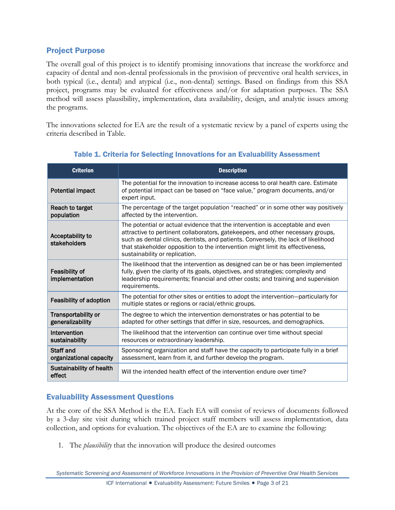## <span id="page-4-0"></span>Project Purpose

The overall goal of this project is to identify promising innovations that increase the workforce and capacity of dental and non-dental professionals in the provision of preventive oral health services, in both typical (i.e., dental) and atypical (i.e., non-dental) settings. Based on findings from this SSA project, programs may be evaluated for effectiveness and/or for adaptation purposes. The SSA method will assess plausibility, implementation, data availability, design, and analytic issues among the programs.

The innovations selected for EA are the result of a systematic review by a panel of experts using the criteria described in Table.

| <b>Criterion</b>                               | <b>Description</b>                                                                                                                                                                                                                                                                                                                                                         |  |  |  |
|------------------------------------------------|----------------------------------------------------------------------------------------------------------------------------------------------------------------------------------------------------------------------------------------------------------------------------------------------------------------------------------------------------------------------------|--|--|--|
| Potential impact                               | The potential for the innovation to increase access to oral health care. Estimate<br>of potential impact can be based on "face value," program documents, and/or<br>expert input.                                                                                                                                                                                          |  |  |  |
| Reach to target<br>population                  | The percentage of the target population "reached" or in some other way positively<br>affected by the intervention.                                                                                                                                                                                                                                                         |  |  |  |
| <b>Acceptability to</b><br>stakeholders        | The potential or actual evidence that the intervention is acceptable and even<br>attractive to pertinent collaborators, gatekeepers, and other necessary groups,<br>such as dental clinics, dentists, and patients. Conversely, the lack of likelihood<br>that stakeholder opposition to the intervention might limit its effectiveness,<br>sustainability or replication. |  |  |  |
| Feasibility of<br>implementation               | The likelihood that the intervention as designed can be or has been implemented<br>fully, given the clarity of its goals, objectives, and strategies; complexity and<br>leadership requirements; financial and other costs; and training and supervision<br>requirements.                                                                                                  |  |  |  |
| <b>Feasibility of adoption</b>                 | The potential for other sites or entities to adopt the intervention-particularly for<br>multiple states or regions or racial/ethnic groups.                                                                                                                                                                                                                                |  |  |  |
| <b>Transportability or</b><br>generalizability | The degree to which the intervention demonstrates or has potential to be<br>adapted for other settings that differ in size, resources, and demographics.                                                                                                                                                                                                                   |  |  |  |
| Intervention<br>sustainability                 | The likelihood that the intervention can continue over time without special<br>resources or extraordinary leadership.                                                                                                                                                                                                                                                      |  |  |  |
| Staff and<br>organizational capacity           | Sponsoring organization and staff have the capacity to participate fully in a brief<br>assessment, learn from it, and further develop the program.                                                                                                                                                                                                                         |  |  |  |
| Sustainability of health<br>effect             | Will the intended health effect of the intervention endure over time?                                                                                                                                                                                                                                                                                                      |  |  |  |

#### Table 1. Criteria for Selecting Innovations for an Evaluability Assessment

## <span id="page-4-1"></span>Evaluability Assessment Questions

At the core of the SSA Method is the EA. Each EA will consist of reviews of documents followed by a 3-day site visit during which trained project staff members will assess implementation, data collection, and options for evaluation. The objectives of the EA are to examine the following:

1. The *plausibility* that the innovation will produce the desired outcomes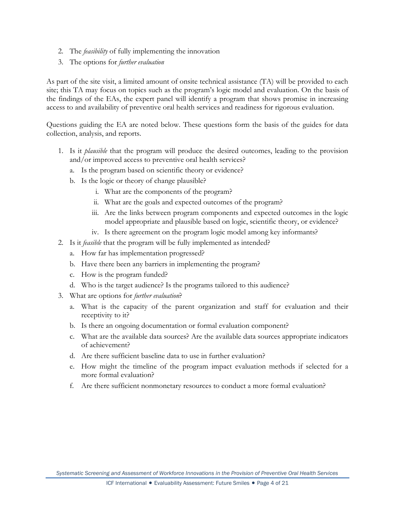- 2. The *feasibility* of fully implementing the innovation
- 3. The options for *further evaluation*

As part of the site visit, a limited amount of onsite technical assistance (TA) will be provided to each site; this TA may focus on topics such as the program's logic model and evaluation. On the basis of the findings of the EAs, the expert panel will identify a program that shows promise in increasing access to and availability of preventive oral health services and readiness for rigorous evaluation.

Questions guiding the EA are noted below. These questions form the basis of the guides for data collection, analysis, and reports.

- 1. Is it *plausible* that the program will produce the desired outcomes, leading to the provision and/or improved access to preventive oral health services?
	- a. Is the program based on scientific theory or evidence?
	- b. Is the logic or theory of change plausible?
		- i. What are the components of the program?
		- ii. What are the goals and expected outcomes of the program?
		- iii. Are the links between program components and expected outcomes in the logic model appropriate and plausible based on logic, scientific theory, or evidence?
		- iv. Is there agreement on the program logic model among key informants?
- 2. Is it *feasible* that the program will be fully implemented as intended?
	- a. How far has implementation progressed?
	- b. Have there been any barriers in implementing the program?
	- c. How is the program funded?
	- d. Who is the target audience? Is the programs tailored to this audience?
- 3. What are options for *further evaluation*?
	- a. What is the capacity of the parent organization and staff for evaluation and their receptivity to it?
	- b. Is there an ongoing documentation or formal evaluation component?
	- c. What are the available data sources? Are the available data sources appropriate indicators of achievement?
	- d. Are there sufficient baseline data to use in further evaluation?
	- e. How might the timeline of the program impact evaluation methods if selected for a more formal evaluation?
	- f. Are there sufficient nonmonetary resources to conduct a more formal evaluation?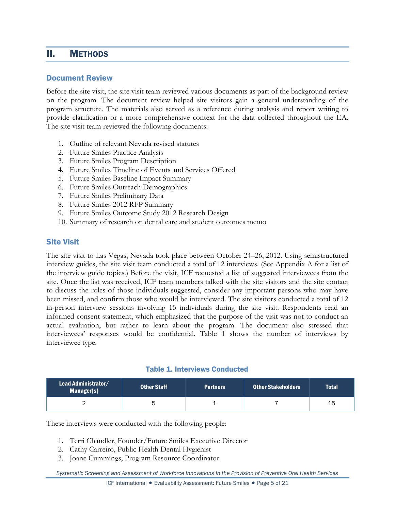## <span id="page-6-0"></span>II. METHODS

#### <span id="page-6-1"></span>Document Review

Before the site visit, the site visit team reviewed various documents as part of the background review on the program. The document review helped site visitors gain a general understanding of the program structure. The materials also served as a reference during analysis and report writing to provide clarification or a more comprehensive context for the data collected throughout the EA. The site visit team reviewed the following documents:

- 1. Outline of relevant Nevada revised statutes
- 2. Future Smiles Practice Analysis
- 3. Future Smiles Program Description
- 4. Future Smiles Timeline of Events and Services Offered
- 5. Future Smiles Baseline Impact Summary
- 6. Future Smiles Outreach Demographics
- 7. Future Smiles Preliminary Data
- 8. Future Smiles 2012 RFP Summary
- 9. Future Smiles Outcome Study 2012 Research Design
- 10. Summary of research on dental care and student outcomes memo

#### <span id="page-6-2"></span>Site Visit

The site visit to Las Vegas, Nevada took place between October 24–26, 2012. Using semistructured interview guides, the site visit team conducted a total of 12 interviews. (See Appendix A for a list of the interview guide topics.) Before the visit, ICF requested a list of suggested interviewees from the site. Once the list was received, ICF team members talked with the site visitors and the site contact to discuss the roles of those individuals suggested, consider any important persons who may have been missed, and confirm those who would be interviewed. The site visitors conducted a total of 12 in-person interview sessions involving 15 individuals during the site visit. Respondents read an informed consent statement, which emphasized that the purpose of the visit was not to conduct an actual evaluation, but rather to learn about the program. The document also stressed that interviewees' responses would be confidential. Table 1 shows the number of interviews by interviewee type.

#### Table 1. Interviews Conducted

| Lead Administrator/<br>Manager(s) | <b>Other Staff</b> | <b>Partners</b> | <b>Other Stakeholders</b> | <b>Total</b> |
|-----------------------------------|--------------------|-----------------|---------------------------|--------------|
|                                   |                    |                 |                           | 15           |

These interviews were conducted with the following people:

- 1. Terri Chandler, Founder/Future Smiles Executive Director
- 2. Cathy Carreiro, Public Health Dental Hygienist
- 3. Joane Cummings, Program Resource Coordinator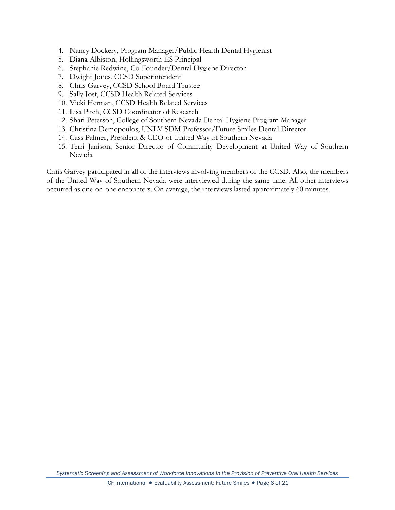- 4. Nancy Dockery, Program Manager/Public Health Dental Hygienist
- 5. Diana Albiston, Hollingsworth ES Principal
- 6. Stephanie Redwine, Co-Founder/Dental Hygiene Director
- 7. Dwight Jones, CCSD Superintendent
- 8. Chris Garvey, CCSD School Board Trustee
- 9. Sally Jost, CCSD Health Related Services
- 10. Vicki Herman, CCSD Health Related Services
- 11. Lisa Pitch, CCSD Coordinator of Research
- 12. Shari Peterson, College of Southern Nevada Dental Hygiene Program Manager
- 13. Christina Demopoulos, UNLV SDM Professor/Future Smiles Dental Director
- 14. Cass Palmer, President & CEO of United Way of Southern Nevada
- 15. Terri Janison, Senior Director of Community Development at United Way of Southern Nevada

Chris Garvey participated in all of the interviews involving members of the CCSD. Also, the members of the United Way of Southern Nevada were interviewed during the same time. All other interviews occurred as one-on-one encounters. On average, the interviews lasted approximately 60 minutes.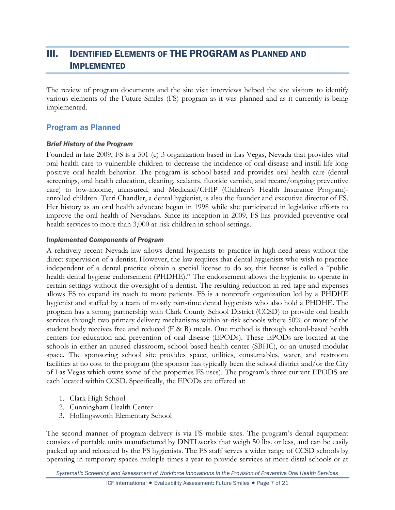## <span id="page-8-0"></span>III. IDENTIFIED ELEMENTS OF THE PROGRAM AS PLANNED AND IMPLEMENTED

The review of program documents and the site visit interviews helped the site visitors to identify various elements of the Future Smiles (FS) program as it was planned and as it currently is being implemented.

#### <span id="page-8-1"></span>Program as Planned

#### *Brief History of the Program*

Founded in late 2009, FS is a 501 (c) 3 organization based in Las Vegas, Nevada that provides vital oral health care to vulnerable children to decrease the incidence of oral disease and instill life-long positive oral health behavior. The program is school-based and provides oral health care (dental screenings, oral health education, cleaning, sealants, fluoride varnish, and recare/ongoing preventive care) to low-income, uninsured, and Medicaid/CHIP (Children's Health Insurance Program) enrolled children. Terri Chandler, a dental hygienist, is also the founder and executive director of FS. Her history as an oral health advocate began in 1998 while she participated in legislative efforts to improve the oral health of Nevadans. Since its inception in 2009, FS has provided preventive oral health services to more than 3,000 at-risk children in school settings.

#### *Implemented Components of Program*

A relatively recent Nevada law allows dental hygienists to practice in high-need areas without the direct supervision of a dentist. However, the law requires that dental hygienists who wish to practice independent of a dental practice obtain a special license to do so; this license is called a "public health dental hygiene endorsement (PHDHE)." The endorsement allows the hygienist to operate in certain settings without the oversight of a dentist. The resulting reduction in red tape and expenses allows FS to expand its reach to more patients. FS is a nonprofit organization led by a PHDHE hygienist and staffed by a team of mostly part-time dental hygienists who also hold a PHDHE. The program has a strong partnership with Clark County School District (CCSD) to provide oral health services through two primary delivery mechanisms within at-risk schools where 50% or more of the student body receives free and reduced (F & R) meals. One method is through school-based health centers for education and prevention of oral disease (EPODs). These EPODs are located at the schools in either an unused classroom, school-based health center (SBHC), or an unused modular space. The sponsoring school site provides space, utilities, consumables, water, and restroom facilities at no cost to the program (the sponsor has typically been the school district and/or the City of Las Vegas which owns some of the properties FS uses). The program's three current EPODS are each located within CCSD. Specifically, the EPODs are offered at:

- 1. Clark High School
- 2. Cunningham Health Center
- 3. Hollingsworth Elementary School

The second manner of program delivery is via FS mobile sites. The program's dental equipment consists of portable units manufactured by DNTLworks that weigh 50 lbs. or less, and can be easily packed up and relocated by the FS hygienists. The FS staff serves a wider range of CCSD schools by operating in temporary spaces multiple times a year to provide services at more distal schools or at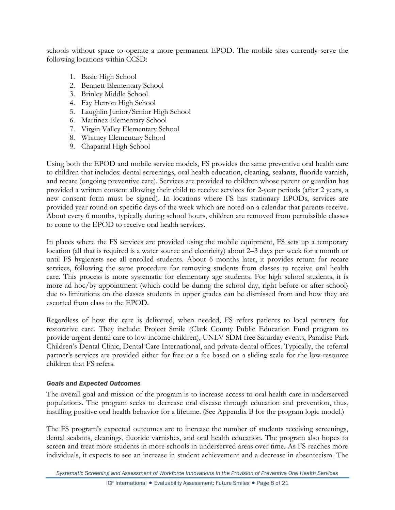schools without space to operate a more permanent EPOD. The mobile sites currently serve the following locations within CCSD:

- 1. Basic High School
- 2. Bennett Elementary School
- 3. Brinley Middle School
- 4. Fay Herron High School
- 5. Laughlin Junior/Senior High School
- 6. Martinez Elementary School
- 7. Virgin Valley Elementary School
- 8. Whitney Elementary School
- 9. Chaparral High School

Using both the EPOD and mobile service models, FS provides the same preventive oral health care to children that includes: dental screenings, oral health education, cleaning, sealants, fluoride varnish, and recare (ongoing preventive care). Services are provided to children whose parent or guardian has provided a written consent allowing their child to receive services for 2-year periods (after 2 years, a new consent form must be signed). In locations where FS has stationary EPODs, services are provided year round on specific days of the week which are noted on a calendar that parents receive. About every 6 months, typically during school hours, children are removed from permissible classes to come to the EPOD to receive oral health services.

In places where the FS services are provided using the mobile equipment, FS sets up a temporary location (all that is required is a water source and electricity) about 2–3 days per week for a month or until FS hygienists see all enrolled students. About 6 months later, it provides return for recare services, following the same procedure for removing students from classes to receive oral health care. This process is more systematic for elementary age students. For high school students, it is more ad hoc/by appointment (which could be during the school day, right before or after school) due to limitations on the classes students in upper grades can be dismissed from and how they are escorted from class to the EPOD.

Regardless of how the care is delivered, when needed, FS refers patients to local partners for restorative care. They include: Project Smile (Clark County Public Education Fund program to provide urgent dental care to low-income children), UNLV SDM free Saturday events, Paradise Park Children's Dental Clinic, Dental Care International, and private dental offices. Typically, the referral partner's services are provided either for free or a fee based on a sliding scale for the low-resource children that FS refers.

#### *Goals and Expected Outcomes*

The overall goal and mission of the program is to increase access to oral health care in underserved populations. The program seeks to decrease oral disease through education and prevention, thus, instilling positive oral health behavior for a lifetime. (See Appendix B for the program logic model.)

The FS program's expected outcomes are to increase the number of students receiving screenings, dental sealants, cleanings, fluoride varnishes, and oral health education. The program also hopes to screen and treat more students in more schools in underserved areas over time. As FS reaches more individuals, it expects to see an increase in student achievement and a decrease in absenteeism. The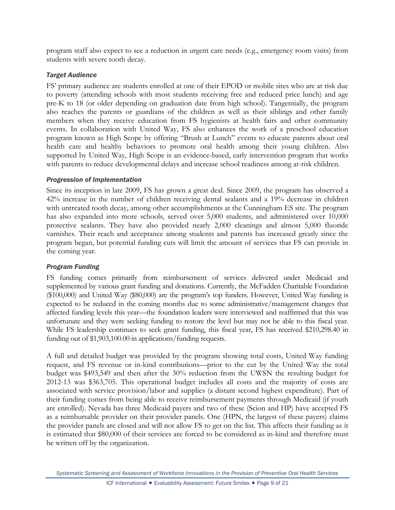program staff also expect to see a reduction in urgent care needs (e.g., emergency room visits) from students with severe tooth decay.

#### *Target Audience*

FS' primary audience are students enrolled at one of their EPOD or mobile sites who are at risk due to poverty (attending schools with most students receiving free and reduced price lunch) and age pre-K to 18 (or older depending on graduation date from high school). Tangentially, the program also reaches the parents or guardians of the children as well as their siblings and other family members when they receive education from FS hygienists at health fairs and other community events. In collaboration with United Way, FS also enhances the work of a preschool education program known as High Scope by offering "Brush at Lunch" events to educate parents about oral health care and healthy behaviors to promote oral health among their young children. Also supported by United Way, High Scope is an evidence-based, early intervention program that works with parents to reduce developmental delays and increase school readiness among at-risk children.

#### *Progression of Implementation*

Since its inception in late 2009, FS has grown a great deal. Since 2009, the program has observed a 42% increase in the number of children receiving dental sealants and a 19% decrease in children with untreated tooth decay, among other accomplishments at the Cunningham ES site. The program has also expanded into more schools, served over 5,000 students, and administered over 10,000 protective sealants. They have also provided nearly 2,000 cleanings and almost 5,000 fluoride varnishes. Their reach and acceptance among students and parents has increased greatly since the program began, but potential funding cuts will limit the amount of services that FS can provide in the coming year.

#### *Program Funding*

FS funding comes primarily from reimbursement of services delivered under Medicaid and supplemented by various grant funding and donations. Currently, the McFadden Charitable Foundation (\$100,000) and United Way (\$80,000) are the program's top funders. However, United Way funding is expected to be reduced in the coming months due to some administrative/management changes that affected funding levels this year—the foundation leaders were interviewed and reaffirmed that this was unfortunate and they were seeking funding to restore the level but may not be able to this fiscal year. While FS leadership continues to seek grant funding, this fiscal year, FS has received \$210,298.40 in funding out of \$1,903,100.00 in applications/funding requests.

A full and detailed budget was provided by the program showing total costs, United Way funding request, and FS revenue or in-kind contributions—prior to the cut by the United Way the total budget was \$493,549 and then after the 30% reduction from the UWSN the resulting budget for 2012-13 was \$363,705. This operational budget includes all costs and the majority of costs are associated with service provision/labor and supplies (a distant second highest expenditure). Part of their funding comes from being able to receive reimbursement payments through Medicaid (if youth are enrolled). Nevada has three Medicaid payers and two of these (Scion and HP) have accepted FS as a reimbursable provider on their provider panels. One (HPN, the largest of these payers) claims the provider panels are closed and will not allow FS to get on the list. This affects their funding as it is estimated that \$80,000 of their services are forced to be considered as in-kind and therefore must be written off by the organization.

*Systematic Screening and Assessment of Workforce Innovations in the Provision of Preventive Oral Health Services*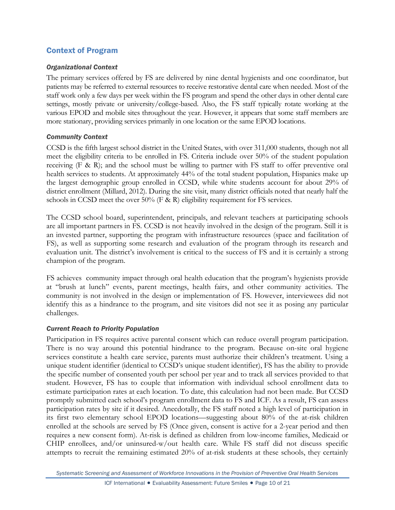## <span id="page-11-0"></span>Context of Program

#### *Organizational Context*

The primary services offered by FS are delivered by nine dental hygienists and one coordinator, but patients may be referred to external resources to receive restorative dental care when needed. Most of the staff work only a few days per week within the FS program and spend the other days in other dental care settings, mostly private or university/college-based. Also, the FS staff typically rotate working at the various EPOD and mobile sites throughout the year. However, it appears that some staff members are more stationary, providing services primarily in one location or the same EPOD locations.

#### *Community Context*

CCSD is the fifth largest school district in the United States, with over 311,000 students, though not all meet the eligibility criteria to be enrolled in FS. Criteria include over 50% of the student population receiving (F & R); and the school must be willing to partner with FS staff to offer preventive oral health services to students. At approximately 44% of the total student population, Hispanics make up the largest demographic group enrolled in CCSD, while white students account for about 29% of district enrollment (Millard, 2012). During the site visit, many district officials noted that nearly half the schools in CCSD meet the over 50% (F & R) eligibility requirement for FS services.

The CCSD school board, superintendent, principals, and relevant teachers at participating schools are all important partners in FS. CCSD is not heavily involved in the design of the program. Still it is an invested partner, supporting the program with infrastructure resources (space and facilitation of FS), as well as supporting some research and evaluation of the program through its research and evaluation unit. The district's involvement is critical to the success of FS and it is certainly a strong champion of the program.

FS achieves community impact through oral health education that the program's hygienists provide at "brush at lunch" events, parent meetings, health fairs, and other community activities. The community is not involved in the design or implementation of FS. However, interviewees did not identify this as a hindrance to the program, and site visitors did not see it as posing any particular challenges.

#### *Current Reach to Priority Population*

Participation in FS requires active parental consent which can reduce overall program participation. There is no way around this potential hindrance to the program. Because on-site oral hygiene services constitute a health care service, parents must authorize their children's treatment. Using a unique student identifier (identical to CCSD's unique student identifier), FS has the ability to provide the specific number of consented youth per school per year and to track all services provided to that student. However, FS has to couple that information with individual school enrollment data to estimate participation rates at each location. To date, this calculation had not been made. But CCSD promptly submitted each school's program enrollment data to FS and ICF. As a result, FS can assess participation rates by site if it desired. Anecdotally, the FS staff noted a high level of participation in its first two elementary school EPOD locations—suggesting about 80% of the at-risk children enrolled at the schools are served by FS (Once given, consent is active for a 2-year period and then requires a new consent form). At-risk is defined as children from low-income families, Medicaid or CHIP enrollees, and/or uninsured-w/out health care. While FS staff did not discuss specific attempts to recruit the remaining estimated 20% of at-risk students at these schools, they certainly

*Systematic Screening and Assessment of Workforce Innovations in the Provision of Preventive Oral Health Services*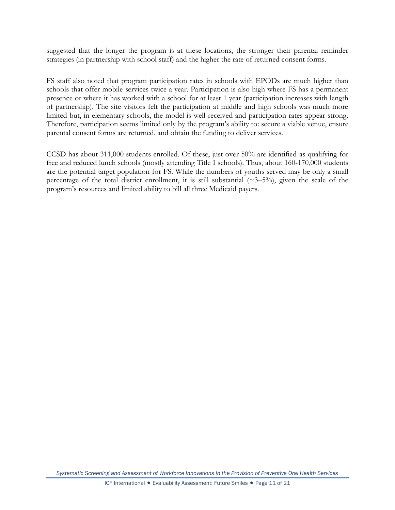suggested that the longer the program is at these locations, the stronger their parental reminder strategies (in partnership with school staff) and the higher the rate of returned consent forms.

FS staff also noted that program participation rates in schools with EPODs are much higher than schools that offer mobile services twice a year. Participation is also high where FS has a permanent presence or where it has worked with a school for at least 1 year (participation increases with length of partnership). The site visitors felt the participation at middle and high schools was much more limited but, in elementary schools, the model is well-received and participation rates appear strong. Therefore, participation seems limited only by the program's ability to: secure a viable venue, ensure parental consent forms are returned, and obtain the funding to deliver services.

CCSD has about 311,000 students enrolled. Of these, just over 50% are identified as qualifying for free and reduced lunch schools (mostly attending Title I schools). Thus, about 160-170,000 students are the potential target population for FS. While the numbers of youths served may be only a small percentage of the total district enrollment, it is still substantial  $(\sim 3-5\%)$ , given the scale of the program's resources and limited ability to bill all three Medicaid payers.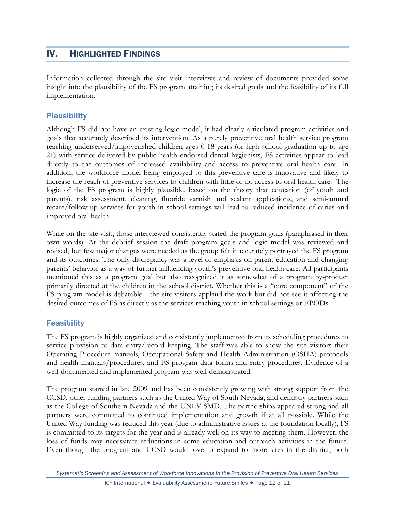## <span id="page-13-0"></span>IV. HIGHLIGHTED FINDINGS

Information collected through the site visit interviews and review of documents provided some insight into the plausibility of the FS program attaining its desired goals and the feasibility of its full implementation.

#### <span id="page-13-1"></span>**Plausibility**

Although FS did not have an existing logic model, it had clearly articulated program activities and goals that accurately described its intervention. As a purely preventive oral health service program reaching underserved/impoverished children ages 0-18 years (or high school graduation up to age 21) with service delivered by public health endorsed dental hygienists, FS activities appear to lead directly to the outcomes of increased availability and access to preventive oral health care. In addition, the workforce model being employed to this preventive care is innovative and likely to increase the reach of preventive services to children with little or no access to oral health care. The logic of the FS program is highly plausible, based on the theory that education (of youth and parents), risk assessment, cleaning, fluoride varnish and sealant applications, and semi-annual recare/follow-up services for youth in school settings will lead to reduced incidence of caries and improved oral health.

While on the site visit, those interviewed consistently stated the program goals (paraphrased in their own words). At the debrief session the draft program goals and logic model was reviewed and revised, but few major changes were needed as the group felt it accurately portrayed the FS program and its outcomes. The only discrepancy was a level of emphasis on parent education and changing parents' behavior as a way of further influencing youth's preventive oral health care. All participants mentioned this as a program goal but also recognized it as somewhat of a program by-product primarily directed at the children in the school district. Whether this is a "core component" of the FS program model is debatable—the site visitors applaud the work but did not see it affecting the desired outcomes of FS as directly as the services reaching youth in school settings or EPODs.

#### <span id="page-13-2"></span>**Feasibility**

The FS program is highly organized and consistently implemented from its scheduling procedures to service provision to data entry/record keeping. The staff was able to show the site visitors their Operating Procedure manuals, Occupational Safety and Health Administration (OSHA) protocols and health manuals/procedures, and FS program data forms and entry procedures. Evidence of a well-documented and implemented program was well-demonstrated.

The program started in late 2009 and has been consistently growing with strong support from the CCSD, other funding partners such as the United Way of South Nevada, and dentistry partners such as the College of Southern Nevada and the UNLV SMD. The partnerships appeared strong and all partners were committed to continued implementation and growth if at all possible. While the United Way funding was reduced this year (due to administrative issues at the foundation locally), FS is committed to its targets for the year and is already well on its way to meeting them. However, the loss of funds may necessitate reductions in some education and outreach activities in the future. Even though the program and CCSD would love to expand to more sites in the district, both

*Systematic Screening and Assessment of Workforce Innovations in the Provision of Preventive Oral Health Services*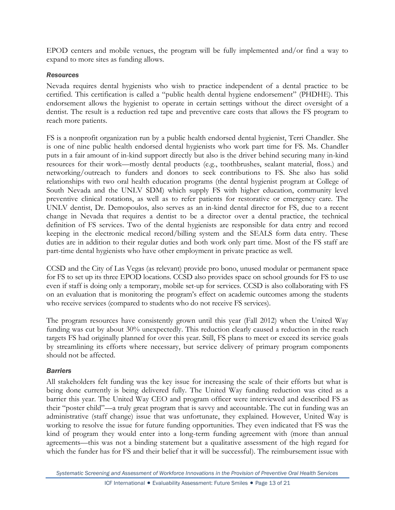EPOD centers and mobile venues, the program will be fully implemented and/or find a way to expand to more sites as funding allows.

#### *Resources*

Nevada requires dental hygienists who wish to practice independent of a dental practice to be certified. This certification is called a "public health dental hygiene endorsement" (PHDHE). This endorsement allows the hygienist to operate in certain settings without the direct oversight of a dentist. The result is a reduction red tape and preventive care costs that allows the FS program to reach more patients.

FS is a nonprofit organization run by a public health endorsed dental hygienist, Terri Chandler. She is one of nine public health endorsed dental hygienists who work part time for FS. Ms. Chandler puts in a fair amount of in-kind support directly but also is the driver behind securing many in-kind resources for their work—mostly dental products (e.g., toothbrushes, sealant material, floss.) and networking/outreach to funders and donors to seek contributions to FS. She also has solid relationships with two oral health education programs (the dental hygienist program at College of South Nevada and the UNLV SDM) which supply FS with higher education, community level preventive clinical rotations, as well as to refer patients for restorative or emergency care. The UNLV dentist, Dr. Demopoulos, also serves as an in-kind dental director for FS, due to a recent change in Nevada that requires a dentist to be a director over a dental practice, the technical definition of FS services. Two of the dental hygienists are responsible for data entry and record keeping in the electronic medical record/billing system and the SEALS form data entry. These duties are in addition to their regular duties and both work only part time. Most of the FS staff are part-time dental hygienists who have other employment in private practice as well.

CCSD and the City of Las Vegas (as relevant) provide pro bono, unused modular or permanent space for FS to set up its three EPOD locations. CCSD also provides space on school grounds for FS to use even if staff is doing only a temporary, mobile set-up for services. CCSD is also collaborating with FS on an evaluation that is monitoring the program's effect on academic outcomes among the students who receive services (compared to students who do not receive FS services).

The program resources have consistently grown until this year (Fall 2012) when the United Way funding was cut by about 30% unexpectedly. This reduction clearly caused a reduction in the reach targets FS had originally planned for over this year. Still, FS plans to meet or exceed its service goals by streamlining its efforts where necessary, but service delivery of primary program components should not be affected.

#### *Barriers*

All stakeholders felt funding was the key issue for increasing the scale of their efforts but what is being done currently is being delivered fully. The United Way funding reduction was cited as a barrier this year. The United Way CEO and program officer were interviewed and described FS as their "poster child"—a truly great program that is savvy and accountable. The cut in funding was an administrative (staff change) issue that was unfortunate, they explained. However, United Way is working to resolve the issue for future funding opportunities. They even indicated that FS was the kind of program they would enter into a long-term funding agreement with (more than annual agreements—this was not a binding statement but a qualitative assessment of the high regard for which the funder has for FS and their belief that it will be successful). The reimbursement issue with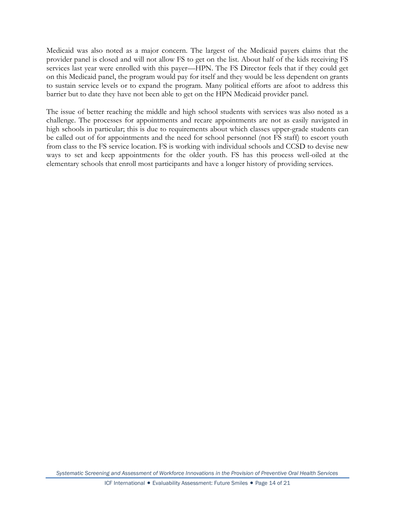Medicaid was also noted as a major concern. The largest of the Medicaid payers claims that the provider panel is closed and will not allow FS to get on the list. About half of the kids receiving FS services last year were enrolled with this payer—HPN. The FS Director feels that if they could get on this Medicaid panel, the program would pay for itself and they would be less dependent on grants to sustain service levels or to expand the program. Many political efforts are afoot to address this barrier but to date they have not been able to get on the HPN Medicaid provider panel.

The issue of better reaching the middle and high school students with services was also noted as a challenge. The processes for appointments and recare appointments are not as easily navigated in high schools in particular; this is due to requirements about which classes upper-grade students can be called out of for appointments and the need for school personnel (not FS staff) to escort youth from class to the FS service location. FS is working with individual schools and CCSD to devise new ways to set and keep appointments for the older youth. FS has this process well-oiled at the elementary schools that enroll most participants and have a longer history of providing services.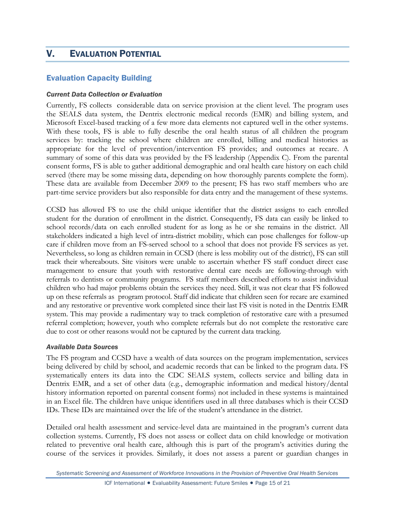## <span id="page-16-0"></span>V. EVALUATION POTENTIAL

#### <span id="page-16-1"></span>Evaluation Capacity Building

#### *Current Data Collection or Evaluation*

Currently, FS collects considerable data on service provision at the client level. The program uses the SEALS data system, the Dentrix electronic medical records (EMR) and billing system, and Microsoft Excel-based tracking of a few more data elements not captured well in the other systems. With these tools, FS is able to fully describe the oral health status of all children the program services by: tracking the school where children are enrolled, billing and medical histories as appropriate for the level of prevention/intervention FS provides; and outcomes at recare. A summary of some of this data was provided by the FS leadership (Appendix C). From the parental consent forms, FS is able to gather additional demographic and oral health care history on each child served (there may be some missing data, depending on how thoroughly parents complete the form). These data are available from December 2009 to the present; FS has two staff members who are part-time service providers but also responsible for data entry and the management of these systems.

CCSD has allowed FS to use the child unique identifier that the district assigns to each enrolled student for the duration of enrollment in the district. Consequently, FS data can easily be linked to school records/data on each enrolled student for as long as he or she remains in the district. All stakeholders indicated a high level of intra-district mobility, which can pose challenges for follow-up care if children move from an FS-served school to a school that does not provide FS services as yet. Nevertheless, so long as children remain in CCSD (there is less mobility out of the district), FS can still track their whereabouts. Site visitors were unable to ascertain whether FS staff conduct direct case management to ensure that youth with restorative dental care needs are following-through with referrals to dentists or community programs. FS staff members described efforts to assist individual children who had major problems obtain the services they need. Still, it was not clear that FS followed up on these referrals as program protocol. Staff did indicate that children seen for recare are examined and any restorative or preventive work completed since their last FS visit is noted in the Dentrix EMR system. This may provide a rudimentary way to track completion of restorative care with a presumed referral completion; however, youth who complete referrals but do not complete the restorative care due to cost or other reasons would not be captured by the current data tracking.

#### *Available Data Sources*

The FS program and CCSD have a wealth of data sources on the program implementation, services being delivered by child by school, and academic records that can be linked to the program data. FS systematically enters its data into the CDC SEALS system, collects service and billing data in Dentrix EMR, and a set of other data (e.g., demographic information and medical history/dental history information reported on parental consent forms) not included in these systems is maintained in an Excel file. The children have unique identifiers used in all three databases which is their CCSD IDs. These IDs are maintained over the life of the student's attendance in the district.

Detailed oral health assessment and service-level data are maintained in the program's current data collection systems. Currently, FS does not assess or collect data on child knowledge or motivation related to preventive oral health care, although this is part of the program's activities during the course of the services it provides. Similarly, it does not assess a parent or guardian changes in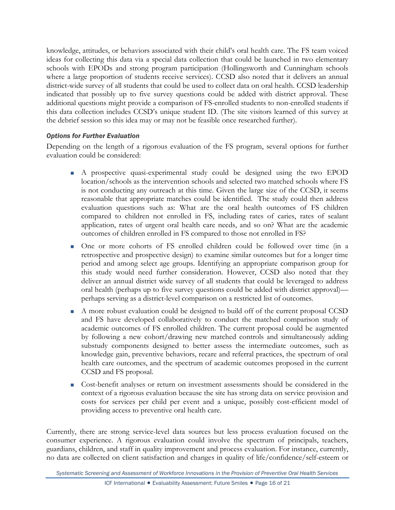knowledge, attitudes, or behaviors associated with their child's oral health care. The FS team voiced ideas for collecting this data via a special data collection that could be launched in two elementary schools with EPODs and strong program participation (Hollingsworth and Cunningham schools where a large proportion of students receive services). CCSD also noted that it delivers an annual district-wide survey of all students that could be used to collect data on oral health. CCSD leadership indicated that possibly up to five survey questions could be added with district approval. These additional questions might provide a comparison of FS-enrolled students to non-enrolled students if this data collection includes CCSD's unique student ID. (The site visitors learned of this survey at the debrief session so this idea may or may not be feasible once researched further).

#### *Options for Further Evaluation*

Depending on the length of a rigorous evaluation of the FS program, several options for further evaluation could be considered:

- A prospective quasi-experimental study could be designed using the two EPOD location/schools as the intervention schools and selected two matched schools where FS is not conducting any outreach at this time. Given the large size of the CCSD, it seems reasonable that appropriate matches could be identified. The study could then address evaluation questions such as: What are the oral health outcomes of FS children compared to children not enrolled in FS, including rates of caries, rates of sealant application, rates of urgent oral health care needs, and so on? What are the academic outcomes of children enrolled in FS compared to those not enrolled in FS?
- One or more cohorts of FS enrolled children could be followed over time (in a retrospective and prospective design) to examine similar outcomes but for a longer time period and among select age groups. Identifying an appropriate comparison group for this study would need further consideration. However, CCSD also noted that they deliver an annual district wide survey of all students that could be leveraged to address oral health (perhaps up to five survey questions could be added with district approval) perhaps serving as a district-level comparison on a restricted list of outcomes.
- A more robust evaluation could be designed to build off of the current proposal CCSD and FS have developed collaboratively to conduct the matched comparison study of academic outcomes of FS enrolled children. The current proposal could be augmented by following a new cohort/drawing new matched controls and simultaneously adding substudy components designed to better assess the intermediate outcomes, such as knowledge gain, preventive behaviors, recare and referral practices, the spectrum of oral health care outcomes, and the spectrum of academic outcomes proposed in the current CCSD and FS proposal.
- Cost-benefit analyses or return on investment assessments should be considered in the context of a rigorous evaluation because the site has strong data on service provision and costs for services per child per event and a unique, possibly cost-efficient model of providing access to preventive oral health care.

Currently, there are strong service-level data sources but less process evaluation focused on the consumer experience. A rigorous evaluation could involve the spectrum of principals, teachers, guardians, children, and staff in quality improvement and process evaluation. For instance, currently, no data are collected on client satisfaction and changes in quality of life/confidence/self-esteem or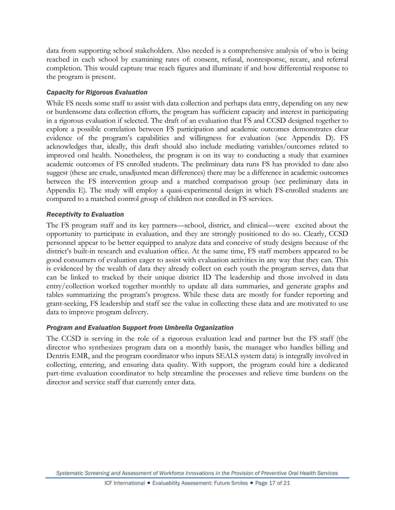data from supporting school stakeholders. Also needed is a comprehensive analysis of who is being reached in each school by examining rates of: consent, refusal, nonresponse, recare, and referral completion. This would capture true reach figures and illuminate if and how differential response to the program is present.

#### *Capacity for Rigorous Evaluation*

While FS needs some staff to assist with data collection and perhaps data entry, depending on any new or burdensome data collection efforts, the program has sufficient capacity and interest in participating in a rigorous evaluation if selected. The draft of an evaluation that FS and CCSD designed together to explore a possible correlation between FS participation and academic outcomes demonstrates clear evidence of the program's capabilities and willingness for evaluation (see Appendix D). FS acknowledges that, ideally, this draft should also include mediating variables/outcomes related to improved oral health. Nonetheless, the program is on its way to conducting a study that examines academic outcomes of FS enrolled students. The preliminary data runs FS has provided to date also suggest (these are crude, unadjusted mean differences) there may be a difference in academic outcomes between the FS intervention group and a matched comparison group (see preliminary data in Appendix E). The study will employ a quasi-experimental design in which FS-enrolled students are compared to a matched control group of children not enrolled in FS services.

#### *Receptivity to Evaluation*

The FS program staff and its key partners—school, district, and clinical—were excited about the opportunity to participate in evaluation, and they are strongly positioned to do so. Clearly, CCSD personnel appear to be better equipped to analyze data and conceive of study designs because of the district's built-in research and evaluation office. At the same time, FS staff members appeared to be good consumers of evaluation eager to assist with evaluation activities in any way that they can. This is evidenced by the wealth of data they already collect on each youth the program serves, data that can be linked to tracked by their unique district ID The leadership and those involved in data entry/collection worked together monthly to update all data summaries, and generate graphs and tables summarizing the program's progress. While these data are mostly for funder reporting and grant-seeking, FS leadership and staff see the value in collecting these data and are motivated to use data to improve program delivery.

#### *Program and Evaluation Support from Umbrella Organization*

The CCSD is serving in the role of a rigorous evaluation lead and partner but the FS staff (the director who synthesizes program data on a monthly basis, the manager who handles billing and Dentrix EMR, and the program coordinator who inputs SEALS system data) is integrally involved in collecting, entering, and ensuring data quality. With support, the program could hire a dedicated part-time evaluation coordinator to help streamline the processes and relieve time burdens on the director and service staff that currently enter data.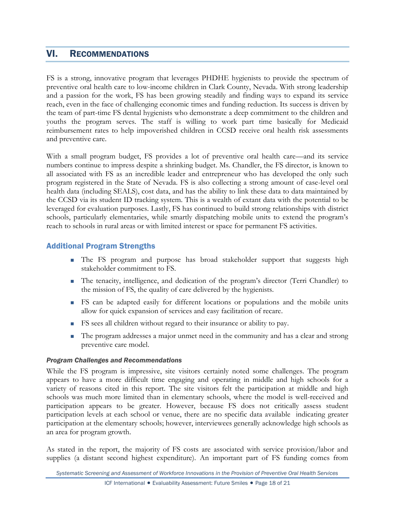## <span id="page-19-0"></span>VI. RECOMMENDATIONS

FS is a strong, innovative program that leverages PHDHE hygienists to provide the spectrum of preventive oral health care to low-income children in Clark County, Nevada. With strong leadership and a passion for the work, FS has been growing steadily and finding ways to expand its service reach, even in the face of challenging economic times and funding reduction. Its success is driven by the team of part-time FS dental hygienists who demonstrate a deep commitment to the children and youths the program serves. The staff is willing to work part time basically for Medicaid reimbursement rates to help impoverished children in CCSD receive oral health risk assessments and preventive care.

With a small program budget, FS provides a lot of preventive oral health care—and its service numbers continue to impress despite a shrinking budget. Ms. Chandler, the FS director, is known to all associated with FS as an incredible leader and entrepreneur who has developed the only such program registered in the State of Nevada. FS is also collecting a strong amount of case-level oral health data (including SEALS), cost data, and has the ability to link these data to data maintained by the CCSD via its student ID tracking system. This is a wealth of extant data with the potential to be leveraged for evaluation purposes. Lastly, FS has continued to build strong relationships with district schools, particularly elementaries, while smartly dispatching mobile units to extend the program's reach to schools in rural areas or with limited interest or space for permanent FS activities.

#### <span id="page-19-1"></span>Additional Program Strengths

- The FS program and purpose has broad stakeholder support that suggests high stakeholder commitment to FS.
- The tenacity, intelligence, and dedication of the program's director (Terri Chandler) to the mission of FS, the quality of care delivered by the hygienists.
- FS can be adapted easily for different locations or populations and the mobile units allow for quick expansion of services and easy facilitation of recare.
- FS sees all children without regard to their insurance or ability to pay.
- The program addresses a major unmet need in the community and has a clear and strong preventive care model.

#### *Program Challenges and Recommendations*

While the FS program is impressive, site visitors certainly noted some challenges. The program appears to have a more difficult time engaging and operating in middle and high schools for a variety of reasons cited in this report. The site visitors felt the participation at middle and high schools was much more limited than in elementary schools, where the model is well-received and participation appears to be greater. However, because FS does not critically assess student participation levels at each school or venue, there are no specific data available indicating greater participation at the elementary schools; however, interviewees generally acknowledge high schools as an area for program growth.

As stated in the report, the majority of FS costs are associated with service provision/labor and supplies (a distant second highest expenditure). An important part of FS funding comes from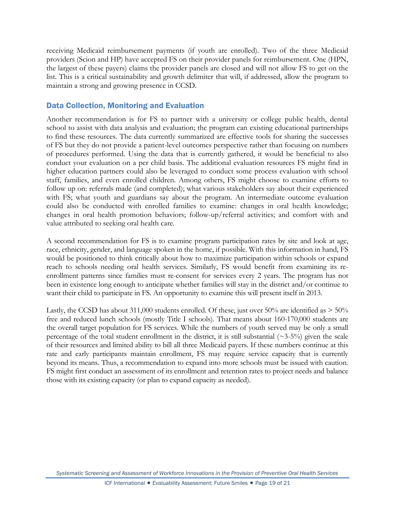receiving Medicaid reimbursement payments (if youth are enrolled). Two of the three Medicaid providers (Scion and HP) have accepted FS on their provider panels for reimbursement. One (HPN, the largest of these payers) claims the provider panels are closed and will not allow FS to get on the list. This is a critical sustainability and growth delimiter that will, if addressed, allow the program to maintain a strong and growing presence in CCSD.

#### <span id="page-20-0"></span>Data Collection, Monitoring and Evaluation

Another recommendation is for FS to partner with a university or college public health, dental school to assist with data analysis and evaluation; the program can existing educational partnerships to find these resources. The data currently summarized are effective tools for sharing the successes of FS but they do not provide a patient-level outcomes perspective rather than focusing on numbers of procedures performed. Using the data that is currently gathered, it would be beneficial to also conduct your evaluation on a per child basis. The additional evaluation resources FS might find in higher education partners could also be leveraged to conduct some process evaluation with school staff, families, and even enrolled children. Among others, FS might choose to examine efforts to follow up on: referrals made (and completed); what various stakeholders say about their experienced with FS; what youth and guardians say about the program. An intermediate outcome evaluation could also be conducted with enrolled families to examine: changes in oral health knowledge; changes in oral health promotion behaviors; follow-up/referral activities; and comfort with and value attributed to seeking oral health care.

A second recommendation for FS is to examine program participation rates by site and look at age, race, ethnicity, gender, and language spoken in the home, if possible. With this information in hand, FS would be positioned to think critically about how to maximize participation within schools or expand reach to schools needing oral health services. Similarly, FS would benefit from examining its reenrollment patterns since families must re-consent for services every 2 years. The program has not been in existence long enough to anticipate whether families will stay in the district and/or continue to want their child to participate in FS. An opportunity to examine this will present itself in 2013.

Lastly, the CCSD has about 311,000 students enrolled. Of these, just over 50% are identified as  $> 50\%$ free and reduced lunch schools (mostly Title I schools). That means about 160-170,000 students are the overall target population for FS services. While the numbers of youth served may be only a small percentage of the total student enrollment in the district, it is still substantial  $(\sim 3-5\%)$  given the scale of their resources and limited ability to bill all three Medicaid payers. If these numbers continue at this rate and early participants maintain enrollment, FS may require service capacity that is currently beyond its means. Thus, a recommendation to expand into more schools must be issued with caution. FS might first conduct an assessment of its enrollment and retention rates to project needs and balance those with its existing capacity (or plan to expand capacity as needed).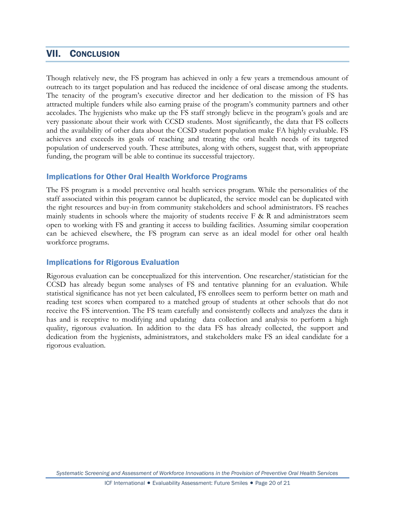## <span id="page-21-0"></span>VII. CONCLUSION

Though relatively new, the FS program has achieved in only a few years a tremendous amount of outreach to its target population and has reduced the incidence of oral disease among the students. The tenacity of the program's executive director and her dedication to the mission of FS has attracted multiple funders while also earning praise of the program's community partners and other accolades. The hygienists who make up the FS staff strongly believe in the program's goals and are very passionate about their work with CCSD students. Most significantly, the data that FS collects and the availability of other data about the CCSD student population make FA highly evaluable. FS achieves and exceeds its goals of reaching and treating the oral health needs of its targeted population of underserved youth. These attributes, along with others, suggest that, with appropriate funding, the program will be able to continue its successful trajectory.

#### <span id="page-21-1"></span>Implications for Other Oral Health Workforce Programs

The FS program is a model preventive oral health services program. While the personalities of the staff associated within this program cannot be duplicated, the service model can be duplicated with the right resources and buy-in from community stakeholders and school administrators. FS reaches mainly students in schools where the majority of students receive  $F \& R$  and administrators seem open to working with FS and granting it access to building facilities. Assuming similar cooperation can be achieved elsewhere, the FS program can serve as an ideal model for other oral health workforce programs.

#### <span id="page-21-2"></span>Implications for Rigorous Evaluation

Rigorous evaluation can be conceptualized for this intervention. One researcher/statistician for the CCSD has already begun some analyses of FS and tentative planning for an evaluation. While statistical significance has not yet been calculated, FS enrollees seem to perform better on math and reading test scores when compared to a matched group of students at other schools that do not receive the FS intervention. The FS team carefully and consistently collects and analyzes the data it has and is receptive to modifying and updating data collection and analysis to perform a high quality, rigorous evaluation. In addition to the data FS has already collected, the support and dedication from the hygienists, administrators, and stakeholders make FS an ideal candidate for a rigorous evaluation.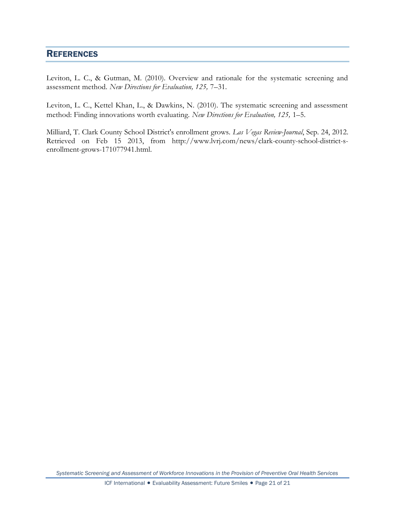## <span id="page-22-0"></span>**REFERENCES**

Leviton, L. C., & Gutman, M. (2010). Overview and rationale for the systematic screening and assessment method. *New Directions for Evaluation, 125,* 7–31.

Leviton, L. C., Kettel Khan, L., & Dawkins, N. (2010). The systematic screening and assessment method: Finding innovations worth evaluating. *New Directions for Evaluation, 125,* 1–5.

Milliard, T. Clark County School District's enrollment grows. *Las Vegas Review-Journal*, Sep. 24, 2012. Retrieved on Feb 15 2013, from http://www.lvrj.com/news/clark-county-school-district-senrollment-grows-171077941.html.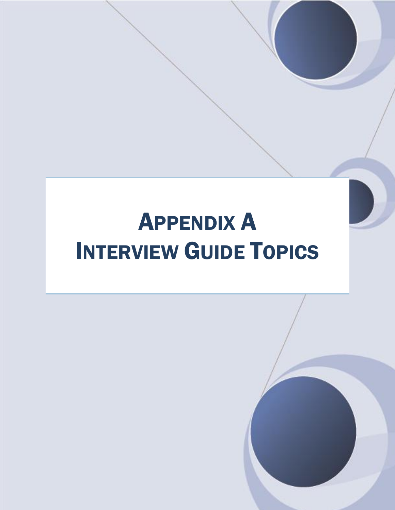# APPENDIX A INTERVIEW GUIDE TOPICS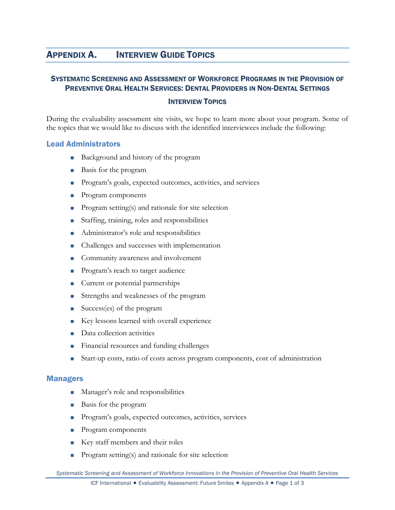## APPENDIX A. INTERVIEW GUIDE TOPICS

#### SYSTEMATIC SCREENING AND ASSESSMENT OF WORKFORCE PROGRAMS IN THE PROVISION OF PREVENTIVE ORAL HEALTH SERVICES: DENTAL PROVIDERS IN NON-DENTAL SETTINGS

#### INTERVIEW TOPICS

During the evaluability assessment site visits, we hope to learn more about your program. Some of the topics that we would like to discuss with the identified interviewees include the following:

#### Lead Administrators

- Background and history of the program
- **Basis for the program**
- **Program's goals, expected outcomes, activities, and services**
- **Program components**
- **Program setting(s)** and rationale for site selection
- Staffing, training, roles and responsibilities
- Administrator's role and responsibilities
- Challenges and successes with implementation
- Community awareness and involvement
- **Program's reach to target audience**
- **Current or potential partnerships**
- Strengths and weaknesses of the program
- Success(es) of the program
- Key lessons learned with overall experience
- Data collection activities
- **Financial resources and funding challenges**
- Start-up costs, ratio of costs across program components, cost of administration

#### **Managers**

- **Manager's role and responsibilities**
- Basis for the program
- **Program's goals, expected outcomes, activities, services**
- **Program components**
- Key staff members and their roles
- **Program setting(s)** and rationale for site selection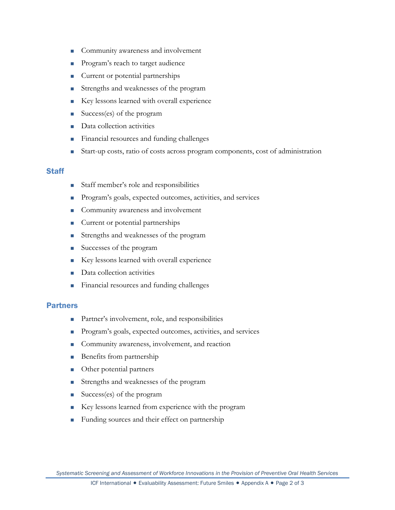- Community awareness and involvement
- **Program's reach to target audience**
- Current or potential partnerships
- **Strengths and weaknesses of the program**
- Key lessons learned with overall experience
- Success(es) of the program
- **Data collection activities**
- Financial resources and funding challenges
- Start-up costs, ratio of costs across program components, cost of administration

#### **Staff**

- Staff member's role and responsibilities
- **Program's goals, expected outcomes, activities, and services**
- Community awareness and involvement
- **Current or potential partnerships**
- **Strengths and weaknesses of the program**
- Successes of the program
- Key lessons learned with overall experience
- Data collection activities
- Financial resources and funding challenges

#### Partners

- **Partner's involvement, role, and responsibilities**
- **Program's goals, expected outcomes, activities, and services**
- Community awareness, involvement, and reaction
- **Benefits from partnership**
- **Other potential partners**
- **Strengths and weaknesses of the program**
- Success(es) of the program
- Key lessons learned from experience with the program
- Funding sources and their effect on partnership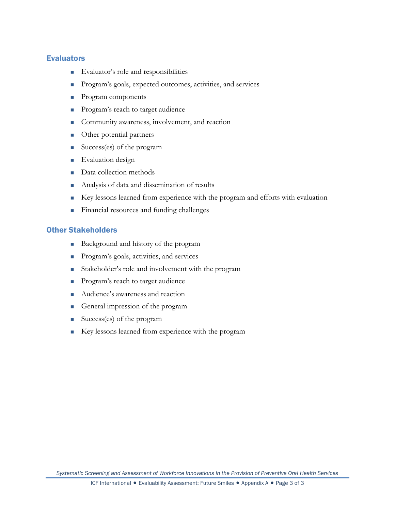#### **Evaluators**

- Evaluator's role and responsibilities
- **Program's goals, expected outcomes, activities, and services**
- **Program components**
- **Program's reach to target audience**
- Community awareness, involvement, and reaction
- **Other potential partners**
- Success(es) of the program
- **Evaluation design**
- Data collection methods
- Analysis of data and dissemination of results
- Key lessons learned from experience with the program and efforts with evaluation
- Financial resources and funding challenges

#### Other Stakeholders

- Background and history of the program
- **Program's goals, activities, and services**
- Stakeholder's role and involvement with the program
- **Program's reach to target audience**
- **Audience's awareness and reaction**
- General impression of the program
- Success(es) of the program
- Key lessons learned from experience with the program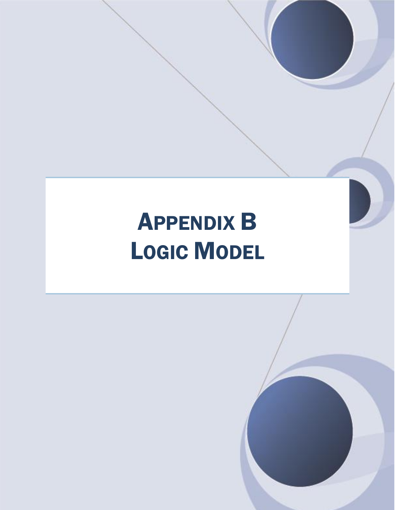# APPENDIX B LOGIC MODEL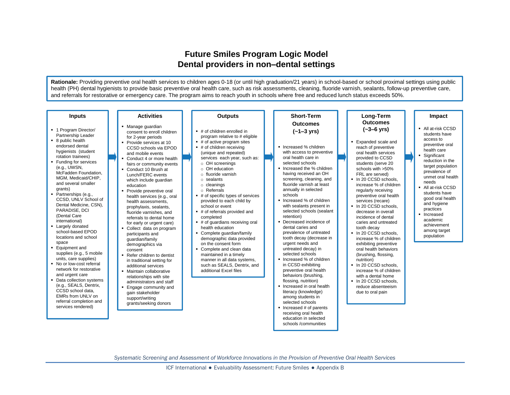## **Future Smiles Program Logic Model Dental providers in non–dental settings**

**Rationale:** Providing preventive oral health services to children ages 0-18 (or until high graduation/21 years) in school-based or school proximal settings using public health (PH) dental hygienists to provide basic preventive oral health care, such as risk assessments, cleaning, fluoride varnish, sealants, follow-up preventive care, and referrals for restorative or emergency care. The program aims to reach youth in schools where free and reduced lunch status exceeds 50%.